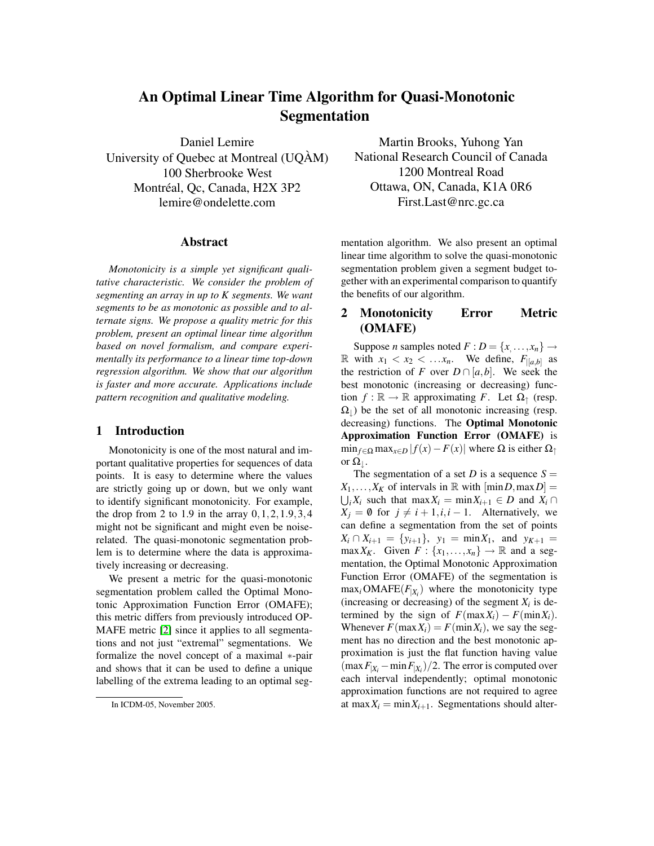# An Optimal Linear Time Algorithm for Quasi-Monotonic Segmentation

Daniel Lemire University of Quebec at Montreal (UQÀM) 100 Sherbrooke West Montréal, Qc, Canada, H2X 3P2 lemire@ondelette.com

### Abstract

*Monotonicity is a simple yet significant qualitative characteristic. We consider the problem of segmenting an array in up to K segments. We want segments to be as monotonic as possible and to alternate signs. We propose a quality metric for this problem, present an optimal linear time algorithm based on novel formalism, and compare experimentally its performance to a linear time top-down regression algorithm. We show that our algorithm is faster and more accurate. Applications include pattern recognition and qualitative modeling.*

### 1 Introduction

Monotonicity is one of the most natural and important qualitative properties for sequences of data points. It is easy to determine where the values are strictly going up or down, but we only want to identify significant monotonicity. For example, the drop from 2 to 1.9 in the array  $0, 1, 2, 1.9, 3, 4$ might not be significant and might even be noiserelated. The quasi-monotonic segmentation problem is to determine where the data is approximatively increasing or decreasing.

We present a metric for the quasi-monotonic segmentation problem called the Optimal Monotonic Approximation Function Error (OMAFE); this metric differs from previously introduced OP-MAFE metric [\[2\]](#page-3-0) since it applies to all segmentations and not just "extremal" segmentations. We formalize the novel concept of a maximal ∗-pair and shows that it can be used to define a unique labelling of the extrema leading to an optimal seg-

Martin Brooks, Yuhong Yan National Research Council of Canada 1200 Montreal Road Ottawa, ON, Canada, K1A 0R6 First.Last@nrc.gc.ca

mentation algorithm. We also present an optimal linear time algorithm to solve the quasi-monotonic segmentation problem given a segment budget together with an experimental comparison to quantify the benefits of our algorithm.

## 2 Monotonicity Error Metric (OMAFE)

Suppose *n* samples noted  $F: D = \{x, \ldots, x_n\} \rightarrow$ R with  $x_1 < x_2 < \dots x_n$ . We define,  $F_{|[a,b]}$  as the restriction of *F* over  $D \cap [a,b]$ . We seek the best monotonic (increasing or decreasing) function  $f : \mathbb{R} \to \mathbb{R}$  approximating *F*. Let  $\Omega_{\uparrow}$  (resp.  $\Omega_{\parallel}$ ) be the set of all monotonic increasing (resp. decreasing) functions. The Optimal Monotonic Approximation Function Error (OMAFE) is  $\min_{f \in \Omega} \max_{x \in D} |f(x) - F(x)|$  where  $\Omega$  is either  $\Omega_{\uparrow}$ or  $\Omega_{\perp}$ .

The segmentation of a set *D* is a sequence  $S =$  $X_1, \ldots, X_K$  of intervals in R with  $[\min D, \max D] =$  $\bigcup_i X_i$  such that max  $X_i = \min X_{i+1} \in D$  and  $X_i \cap$  $X_i = \emptyset$  for  $j \neq i + 1, i, i - 1$ . Alternatively, we can define a segmentation from the set of points  $X_i \cap X_{i+1} = \{y_{i+1}\}, y_1 = \min X_1, \text{ and } y_{K+1} =$  $\max X_K$ . Given  $F: \{x_1, \ldots, x_n\} \to \mathbb{R}$  and a segmentation, the Optimal Monotonic Approximation Function Error (OMAFE) of the segmentation is  $\max_i$  OMAFE( $F_{|X_i}$ ) where the monotonicity type (increasing or decreasing) of the segment  $X_i$  is determined by the sign of  $F(\max X_i) - F(\min X_i)$ . Whenever  $F(\max X_i) = F(\min X_i)$ , we say the segment has no direction and the best monotonic approximation is just the flat function having value  $(\max F_{|X_i} - \min F_{|X_i})/2$ . The error is computed over each interval independently; optimal monotonic approximation functions are not required to agree at max $X_i = \min X_{i+1}$ . Segmentations should alter-

In ICDM-05, November 2005.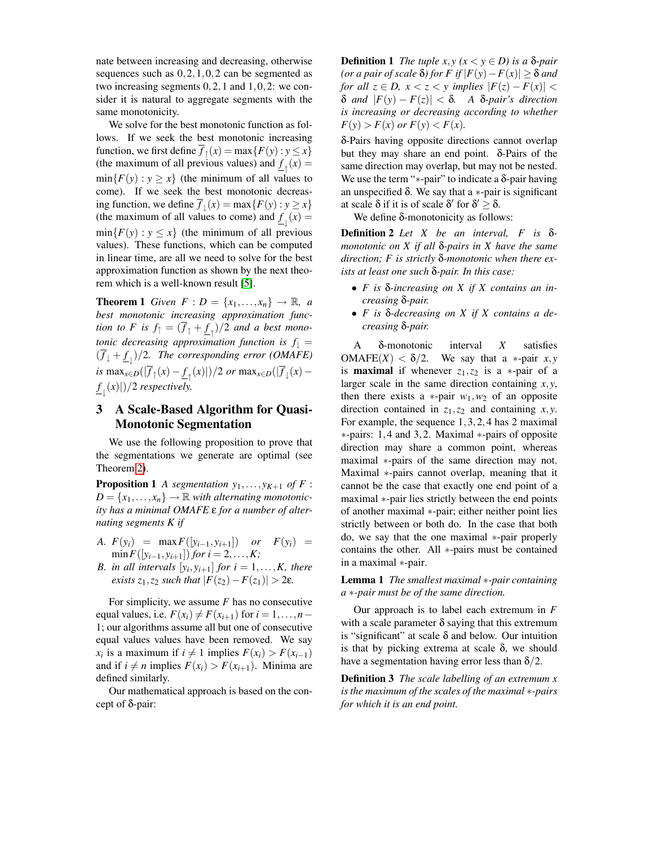nate between increasing and decreasing, otherwise sequences such as 0,2,1,0,2 can be segmented as two increasing segments 0,2,1 and 1,0,2: we consider it is natural to aggregate segments with the same monotonicity.

We solve for the best monotonic function as follows. If we seek the best monotonic increasing function, we first define  $\overline{f}_\uparrow(x) = \max\{F(y) : y \le x\}$ (the maximum of all previous values) and  $\underline{f}_{\uparrow}(x) =$  $min{F(y) : y \geq x}$  (the minimum of all values to come). If we seek the best monotonic decreasing function, we define  $\overline{f}_{\downarrow}(x) = \max\{F(y) : y \ge x\}$ (the maximum of all values to come) and  $\underline{f}_{\downarrow}(x) =$  $min{F(y) : y \leq x}$  (the minimum of all previous values). These functions, which can be computed in linear time, are all we need to solve for the best approximation function as shown by the next theorem which is a well-known result [\[5\]](#page-3-1).

**Theorem 1** *Given*  $F: D = \{x_1, \ldots, x_n\} \rightarrow \mathbb{R}, a$ *best monotonic increasing approximation function to F is*  $f_{\uparrow} = (\overline{f}_{\uparrow} + \underline{f}_{\uparrow})/2$  *and a best monotonic decreasing approximation function is*  $f_{\perp} =$  $(\overline{f}_\downarrow + \underline{f}_\downarrow)/2$ . The corresponding error (OMAFE) *is* max<sub>*x*∈*D*</sub>( $|\overline{f}_\uparrow(x) - \underline{f}_\uparrow(x)|$ )/2 *or* max<sub>*x*∈*D*</sub>( $|\overline{f}_\downarrow(x)$  $f_{\perp}(x)|/2$  *respectively.* 

## 3 A Scale-Based Algorithm for Quasi-Monotonic Segmentation

We use the following proposition to prove that the segmentations we generate are optimal (see Theorem [2\)](#page-2-0).

**Proposition 1** *A segmentation*  $y_1, \ldots, y_{K+1}$  *of F* :  $D = \{x_1, \ldots, x_n\} \rightarrow \mathbb{R}$  *with alternating monotonicity has a minimal OMAFE* ε *for a number of alternating segments K if*

- *A.*  $F(y_i) = \max F([y_{i-1}, y_{i+1}])$  *or*  $F(y_i) =$  $\min F([y_{i-1}, y_{i+1}])$  *for*  $i = 2, ..., K;$
- *B.* in all intervals  $[y_i, y_{i+1}]$  for  $i = 1, \ldots, K$ , there *exists*  $z_1$ *,* $z_2$  *such that*  $|F(z_2) - F(z_1)| > 2\varepsilon$ *.*

For simplicity, we assume *F* has no consecutive equal values, i.e.  $F(x_i) \neq F(x_{i+1})$  for  $i = 1, \ldots, n-1$ 1; our algorithms assume all but one of consecutive equal values values have been removed. We say  $x_i$  is a maximum if  $i \neq 1$  implies  $F(x_i) > F(x_{i-1})$ and if  $i \neq n$  implies  $F(x_i) > F(x_{i+1})$ . Minima are defined similarly.

Our mathematical approach is based on the concept of δ-pair:

**Definition 1** *The tuple x,y (x* < *y* ∈ *D) is a* δ*-pair (or a pair of scale* δ*) for F if* |*F*(*y*)−*F*(*x*)| ≥ δ *and for all*  $z \in D$ ,  $x < z < y$  *implies*  $|F(z) - F(x)| <$ δ *and* |*F*(*y*) − *F*(*z*)| < δ*. A* δ*-pair's direction is increasing or decreasing according to whether*  $F(y) > F(x)$  or  $F(y) < F(x)$ .

δ-Pairs having opposite directions cannot overlap but they may share an end point. δ-Pairs of the same direction may overlap, but may not be nested. We use the term "\*-pair" to indicate a  $δ$ -pair having an unspecified δ. We say that a ∗-pair is significant at scale  $\delta$  if it is of scale  $\delta'$  for  $\delta' \geq \delta$ .

We define δ-monotonicity as follows:

Definition 2 *Let X be an interval, F is* δ*monotonic on X if all* δ*-pairs in X have the same direction; F is strictly* δ*-monotonic when there exists at least one such* δ*-pair. In this case:*

- *F is* δ*-increasing on X if X contains an increasing* δ*-pair.*
- *F is* δ*-decreasing on X if X contains a decreasing* δ*-pair.*

A δ-monotonic interval *X* satisfies OMAFE $(X) < \delta/2$ . We say that a \*-pair *x*, *y* is **maximal** if whenever  $z_1$ ,  $z_2$  is a ∗-pair of a larger scale in the same direction containing *x*,*y*, then there exists a  $*$ -pair  $w_1, w_2$  of an opposite direction contained in *z*1,*z*<sup>2</sup> and containing *x*,*y*. For example, the sequence 1,3,2,4 has 2 maximal ∗-pairs: 1,4 and 3,2. Maximal ∗-pairs of opposite direction may share a common point, whereas maximal ∗-pairs of the same direction may not. Maximal ∗-pairs cannot overlap, meaning that it cannot be the case that exactly one end point of a maximal ∗-pair lies strictly between the end points of another maximal ∗-pair; either neither point lies strictly between or both do. In the case that both do, we say that the one maximal ∗-pair properly contains the other. All ∗-pairs must be contained in a maximal ∗-pair.

Lemma 1 *The smallest maximal* ∗*-pair containing a* ∗*-pair must be of the same direction.*

Our approach is to label each extremum in *F* with a scale parameter  $\delta$  saying that this extremum is "significant" at scale  $\delta$  and below. Our intuition is that by picking extrema at scale δ, we should have a segmentation having error less than  $\delta/2$ .

Definition 3 *The scale labelling of an extremum x is the maximum of the scales of the maximal* ∗*-pairs for which it is an end point.*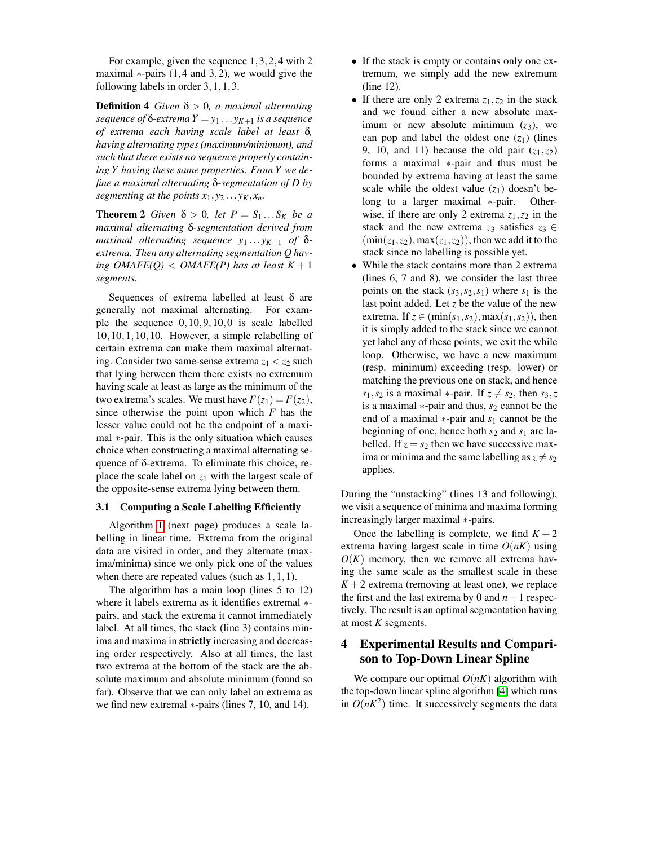For example, given the sequence 1,3,2,4 with 2 maximal  $*$ -pairs (1,4 and 3,2), we would give the following labels in order 3,1,1,3.

**Definition 4** *Given*  $\delta > 0$ *, a maximal alternating sequence of*  $\delta$ -*extrema*  $Y = y_1 \dots y_{K+1}$  *is a sequence of extrema each having scale label at least* δ*, having alternating types (maximum/minimum), and such that there exists no sequence properly containing Y having these same properties. From Y we define a maximal alternating* δ*-segmentation of D by segmenting at the points*  $x_1, y_2 \ldots y_K, x_n$ .

<span id="page-2-0"></span>**Theorem 2** *Given*  $\delta > 0$ *, let*  $P = S_1 \dots S_K$  *be a maximal alternating* δ*-segmentation derived from maximal alternating sequence*  $y_1 \ldots y_{K+1}$  *of*  $\delta$ *extrema. Then any alternating segmentation Q having OMAFE(Q)* < *OMAFE(P)* has at least  $K + 1$ *segments.*

Sequences of extrema labelled at least  $\delta$  are generally not maximal alternating. For example the sequence 0,10,9,10,0 is scale labelled 10,10,1,10,10. However, a simple relabelling of certain extrema can make them maximal alternating. Consider two same-sense extrema  $z_1 < z_2$  such that lying between them there exists no extremum having scale at least as large as the minimum of the two extrema's scales. We must have  $F(z_1) = F(z_2)$ , since otherwise the point upon which *F* has the lesser value could not be the endpoint of a maximal ∗-pair. This is the only situation which causes choice when constructing a maximal alternating sequence of δ-extrema. To eliminate this choice, replace the scale label on  $z_1$  with the largest scale of the opposite-sense extrema lying between them.

### 3.1 Computing a Scale Labelling Efficiently

Algorithm [1](#page-3-2) (next page) produces a scale labelling in linear time. Extrema from the original data are visited in order, and they alternate (maxima/minima) since we only pick one of the values when there are repeated values (such as  $1, 1, 1$ ).

The algorithm has a main loop (lines 5 to 12) where it labels extrema as it identifies extremal ∗ pairs, and stack the extrema it cannot immediately label. At all times, the stack (line 3) contains minima and maxima in strictly increasing and decreasing order respectively. Also at all times, the last two extrema at the bottom of the stack are the absolute maximum and absolute minimum (found so far). Observe that we can only label an extrema as we find new extremal ∗-pairs (lines 7, 10, and 14).

- If the stack is empty or contains only one extremum, we simply add the new extremum (line 12).
- If there are only 2 extrema  $z_1$ , $z_2$  in the stack and we found either a new absolute maximum or new absolute minimum  $(z_3)$ , we can pop and label the oldest one  $(z_1)$  (lines 9, 10, and 11) because the old pair  $(z_1, z_2)$ forms a maximal ∗-pair and thus must be bounded by extrema having at least the same scale while the oldest value  $(z_1)$  doesn't belong to a larger maximal ∗-pair. Otherwise, if there are only 2 extrema  $z_1$ ,  $z_2$  in the stack and the new extrema  $z_3$  satisfies  $z_3 \in$  $(\min(z_1, z_2), \max(z_1, z_2))$ , then we add it to the stack since no labelling is possible yet.
- While the stack contains more than 2 extrema (lines 6, 7 and 8), we consider the last three points on the stack  $(s_3, s_2, s_1)$  where  $s_1$  is the last point added. Let *z* be the value of the new extrema. If  $z \in (\min(s_1, s_2), \max(s_1, s_2))$ , then it is simply added to the stack since we cannot yet label any of these points; we exit the while loop. Otherwise, we have a new maximum (resp. minimum) exceeding (resp. lower) or matching the previous one on stack, and hence *s*<sub>1</sub>,*s*<sub>2</sub> is a maximal \*-pair. If  $z \neq s_2$ , then *s*<sub>3</sub>,*z* is a maximal ∗-pair and thus, *s*<sup>2</sup> cannot be the end of a maximal ∗-pair and *s*<sup>1</sup> cannot be the beginning of one, hence both *s*<sup>2</sup> and *s*<sup>1</sup> are labelled. If  $z = s_2$  then we have successive maxima or minima and the same labelling as  $z \neq s_2$ applies.

During the "unstacking" (lines 13 and following), we visit a sequence of minima and maxima forming increasingly larger maximal ∗-pairs.

Once the labelling is complete, we find  $K + 2$ extrema having largest scale in time  $O(nK)$  using  $O(K)$  memory, then we remove all extrema having the same scale as the smallest scale in these  $K + 2$  extrema (removing at least one), we replace the first and the last extrema by 0 and *n*−1 respectively. The result is an optimal segmentation having at most *K* segments.

## 4 Experimental Results and Comparison to Top-Down Linear Spline

We compare our optimal  $O(nK)$  algorithm with the top-down linear spline algorithm [\[4\]](#page-3-3) which runs in  $O(nK^2)$  time. It successively segments the data